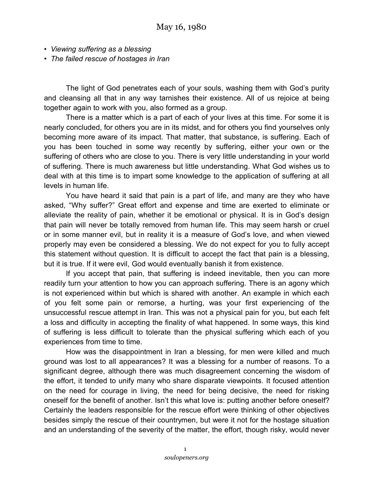- *Viewing suffering as a blessing*
- *The failed rescue of hostages in Iran*

The light of God penetrates each of your souls, washing them with God's purity and cleansing all that in any way tarnishes their existence. All of us rejoice at being together again to work with you, also formed as a group.

There is a matter which is a part of each of your lives at this time. For some it is nearly concluded, for others you are in its midst, and for others you find yourselves only becoming more aware of its impact. That matter, that substance, is suffering. Each of you has been touched in some way recently by suffering, either your own or the suffering of others who are close to you. There is very little understanding in your world of suffering. There is much awareness but little understanding. What God wishes us to deal with at this time is to impart some knowledge to the application of suffering at all levels in human life.

You have heard it said that pain is a part of life, and many are they who have asked, "Why suffer?" Great effort and expense and time are exerted to eliminate or alleviate the reality of pain, whether it be emotional or physical. It is in God's design that pain will never be totally removed from human life. This may seem harsh or cruel or in some manner evil, but in reality it is a measure of God's love, and when viewed properly may even be considered a blessing. We do not expect for you to fully accept this statement without question. It is difficult to accept the fact that pain is a blessing, but it is true. If it were evil, God would eventually banish it from existence.

If you accept that pain, that suffering is indeed inevitable, then you can more readily turn your attention to how you can approach suffering. There is an agony which is not experienced within but which is shared with another. An example in which each of you felt some pain or remorse, a hurting, was your first experiencing of the unsuccessful rescue attempt in Iran. This was not a physical pain for you, but each felt a loss and difficulty in accepting the finality of what happened. In some ways, this kind of suffering is less difficult to tolerate than the physical suffering which each of you experiences from time to time.

How was the disappointment in Iran a blessing, for men were killed and much ground was lost to all appearances? It was a blessing for a number of reasons. To a significant degree, although there was much disagreement concerning the wisdom of the effort, it tended to unify many who share disparate viewpoints. It focused attention on the need for courage in living, the need for being decisive, the need for risking oneself for the benefit of another. Isn't this what love is: putting another before oneself? Certainly the leaders responsible for the rescue effort were thinking of other objectives besides simply the rescue of their countrymen, but were it not for the hostage situation and an understanding of the severity of the matter, the effort, though risky, would never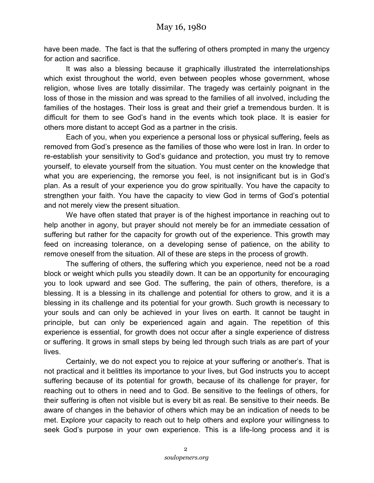have been made. The fact is that the suffering of others prompted in many the urgency for action and sacrifice.

It was also a blessing because it graphically illustrated the interrelationships which exist throughout the world, even between peoples whose government, whose religion, whose lives are totally dissimilar. The tragedy was certainly poignant in the loss of those in the mission and was spread to the families of all involved, including the families of the hostages. Their loss is great and their grief a tremendous burden. It is difficult for them to see God's hand in the events which took place. It is easier for others more distant to accept God as a partner in the crisis.

Each of you, when you experience a personal loss or physical suffering, feels as removed from God's presence as the families of those who were lost in Iran. In order to re-establish your sensitivity to God's guidance and protection, you must try to remove yourself, to elevate yourself from the situation. You must center on the knowledge that what you are experiencing, the remorse you feel, is not insignificant but is in God's plan. As a result of your experience you do grow spiritually. You have the capacity to strengthen your faith. You have the capacity to view God in terms of God's potential and not merely view the present situation.

We have often stated that prayer is of the highest importance in reaching out to help another in agony, but prayer should not merely be for an immediate cessation of suffering but rather for the capacity for growth out of the experience. This growth may feed on increasing tolerance, on a developing sense of patience, on the ability to remove oneself from the situation. All of these are steps in the process of growth.

The suffering of others, the suffering which you experience, need not be a road block or weight which pulls you steadily down. It can be an opportunity for encouraging you to look upward and see God. The suffering, the pain of others, therefore, is a blessing. It is a blessing in its challenge and potential for others to grow, and it is a blessing in its challenge and its potential for your growth. Such growth is necessary to your souls and can only be achieved in your lives on earth. It cannot be taught in principle, but can only be experienced again and again. The repetition of this experience is essential, for growth does not occur after a single experience of distress or suffering. It grows in small steps by being led through such trials as are part of your lives.

Certainly, we do not expect you to rejoice at your suffering or another's. That is not practical and it belittles its importance to your lives, but God instructs you to accept suffering because of its potential for growth, because of its challenge for prayer, for reaching out to others in need and to God. Be sensitive to the feelings of others, for their suffering is often not visible but is every bit as real. Be sensitive to their needs. Be aware of changes in the behavior of others which may be an indication of needs to be met. Explore your capacity to reach out to help others and explore your willingness to seek God's purpose in your own experience. This is a life-long process and it is